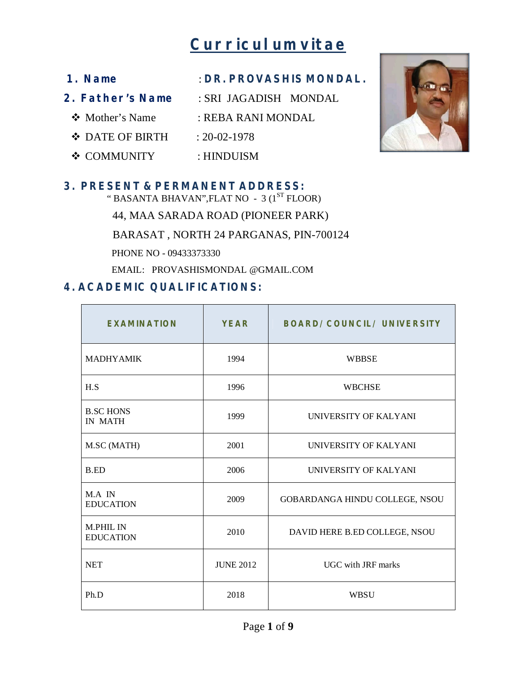# **Curriculum vitae**

| 1. Name          | : DR. PROVASHIS MONDAL. |
|------------------|-------------------------|
| 2. Father's Name | : SRI JAGADISH MONDAL   |
| ❖ Mother's Name  | : REBA RANI MONDAL      |
| ❖ DATE OF BIRTH  | $: 20 - 02 - 1978$      |
| ❖ COMMUNITY      | : HINDUISM              |

#### **3. PRESENT & PERMANENT ADDRESS:**

" BASANTA BHAVAN", FLAT NO  $-3$  ( $1^{ST}$  FLOOR)

44, MAA SARADA ROAD (PIONEER PARK)

BARASAT , NORTH 24 PARGANAS, PIN-700124

PHONE NO - 09433373330

EMAIL: PROVASHISMONDAL @GMAIL.COM

## **4. ACADEMIC QUALIFICATIONS:**

| <b>EXAMINATION</b>                   | <b>YEAR</b>      | <b>BOARD/COUNCIL/ UNIVERSITY</b> |  |
|--------------------------------------|------------------|----------------------------------|--|
| <b>MADHYAMIK</b>                     | 1994             | <b>WBBSE</b>                     |  |
| H.S                                  | 1996             | <b>WBCHSE</b>                    |  |
| <b>B.SC HONS</b><br><b>IN MATH</b>   | 1999             | UNIVERSITY OF KALYANI            |  |
| M.SC (MATH)                          | 2001             | <b>UNIVERSITY OF KALYANI</b>     |  |
| <b>B.ED</b>                          | 2006             | UNIVERSITY OF KALYANI            |  |
| M.A IN<br><b>EDUCATION</b>           | 2009             | GOBARDANGA HINDU COLLEGE, NSOU   |  |
| <b>M.PHIL IN</b><br><b>EDUCATION</b> | 2010             | DAVID HERE B.ED COLLEGE, NSOU    |  |
| <b>NET</b>                           | <b>JUNE 2012</b> | <b>UGC</b> with JRF marks        |  |
| Ph.D                                 | 2018             | WBSU                             |  |

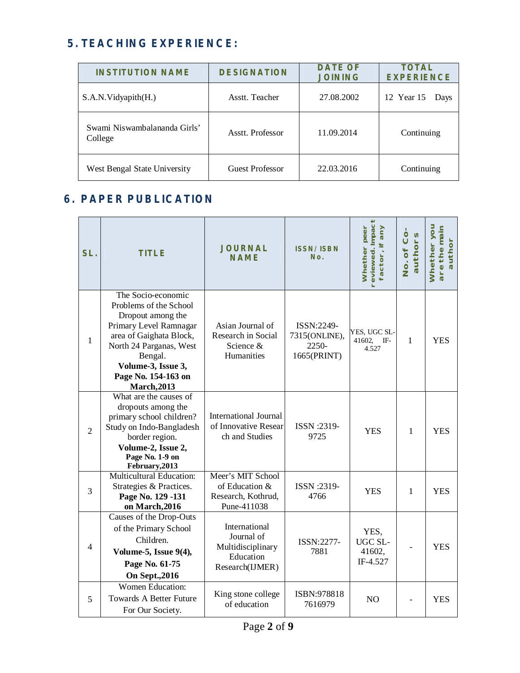## **5. TEACHING EXPERIENCE:**

| <b>INSTITUTION NAME</b>                 | <b>DESIGNATION</b> | <b>DATE OF</b><br><b>JOINING</b> | <b>TOTAL</b><br><b>EXPERIENCE</b> |
|-----------------------------------------|--------------------|----------------------------------|-----------------------------------|
| S.A.N. Vidyapith(H.)                    | Asstt. Teacher     | 27.08.2002                       | 12 Year 15<br>Days                |
| Swami Niswambalananda Girls'<br>College | Asstt. Professor   | 11.09.2014                       | Continuing                        |
| West Bengal State University            | Guest Professor    | 22.03.2016                       | Continuing                        |

## **6. PAPER PUBLICATION**

| SL.            | <b>TITLE</b>                                                                                                                                                                                                                    | <b>JOURNAL</b><br><b>NAME</b>                                                    | <b>ISSN/ISBN</b><br>No.                             | reviewed. Impact<br>Whether peer<br>any<br>factor, if | No. of Co-<br>authors | Whether you<br>are the main<br>author |
|----------------|---------------------------------------------------------------------------------------------------------------------------------------------------------------------------------------------------------------------------------|----------------------------------------------------------------------------------|-----------------------------------------------------|-------------------------------------------------------|-----------------------|---------------------------------------|
| $\mathbf{1}$   | The Socio-economic<br>Problems of the School<br>Dropout among the<br>Primary Level Ramnagar<br>area of Gaighata Block,<br>North 24 Parganas, West<br>Bengal.<br>Volume-3, Issue 3,<br>Page No. 154-163 on<br><b>March, 2013</b> | Asian Journal of<br>Research in Social<br>Science &<br>Humanities                | ISSN:2249-<br>7315(ONLINE),<br>2250-<br>1665(PRINT) | YES, UGC SL-<br>41602,<br>$IF-$<br>4.527              | 1                     | <b>YES</b>                            |
| $\overline{2}$ | What are the causes of<br>dropouts among the<br>primary school children?<br>Study on Indo-Bangladesh<br>border region.<br>Volume-2, Issue 2,<br>Page No. 1-9 on<br>February, 2013                                               | <b>International Journal</b><br>of Innovative Resear<br>ch and Studies           | ISSN :2319-<br>9725                                 | <b>YES</b>                                            | $\mathbf{1}$          | <b>YES</b>                            |
| 3              | <b>Multicultural Education:</b><br>Strategies & Practices.<br>Page No. 129 -131<br>on March, 2016                                                                                                                               | Meer's MIT School<br>of Education &<br>Research, Kothrud,<br>Pune-411038         | ISSN :2319-<br>4766                                 | <b>YES</b>                                            | 1                     | <b>YES</b>                            |
| $\overline{4}$ | Causes of the Drop-Outs<br>of the Primary School<br>Children.<br>Volume-5, Issue 9(4),<br>Page No. 61-75<br><b>On Sept., 2016</b>                                                                                               | International<br>Journal of<br>Multidisciplinary<br>Education<br>Research(IJMER) | ISSN:2277-<br>7881                                  | YES,<br>UGC SL-<br>41602,<br>IF-4.527                 |                       | <b>YES</b>                            |
| 5              | <b>Women Education:</b><br><b>Towards A Better Future</b><br>For Our Society.                                                                                                                                                   | King stone college<br>of education                                               | ISBN:978818<br>7616979                              | N <sub>O</sub>                                        |                       | <b>YES</b>                            |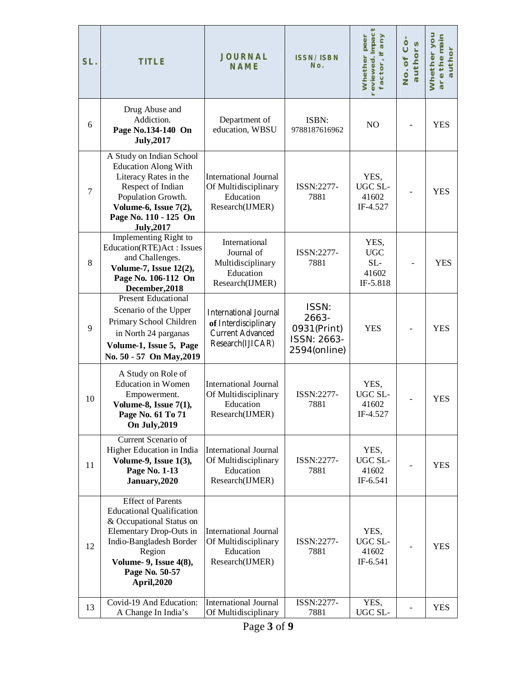| SL.              | <b>TITLE</b>                                                                                                                                                                                                               | <b>JOURNAL</b><br><b>NAME</b>                                                                       | <b>ISSN/ISBN</b><br>No.                                      | Whether peer<br>reviewed. Impact<br>factor, if any | No. of Co<br>authors | Whether you<br>are the main<br>author |
|------------------|----------------------------------------------------------------------------------------------------------------------------------------------------------------------------------------------------------------------------|-----------------------------------------------------------------------------------------------------|--------------------------------------------------------------|----------------------------------------------------|----------------------|---------------------------------------|
| 6                | Drug Abuse and<br>Addiction.<br>Page No.134-140 On<br><b>July, 2017</b>                                                                                                                                                    | Department of<br>education, WBSU                                                                    | ISBN:<br>9788187616962                                       | NO                                                 |                      | <b>YES</b>                            |
| $\boldsymbol{7}$ | A Study on Indian School<br><b>Education Along With</b><br>Literacy Rates in the<br>Respect of Indian<br>Population Growth.<br>Volume-6, Issue 7(2),<br>Page No. 110 - 125 On<br><b>July, 2017</b>                         | <b>International Journal</b><br>Of Multidisciplinary<br>Education<br>Research(IJMER)                | ISSN:2277-<br>7881                                           | YES,<br>UGC SL-<br>41602<br>IF-4.527               |                      | <b>YES</b>                            |
| 8                | Implementing Right to<br>Education(RTE)Act: Issues<br>and Challenges.<br>Volume-7, Issue 12(2),<br>Page No. 106-112 On<br>December, 2018                                                                                   | International<br>Journal of<br>Multidisciplinary<br>Education<br>Research(IJMER)                    | ISSN:2277-<br>7881                                           | YES,<br><b>UGC</b><br>SL-<br>41602<br>IF-5.818     |                      | <b>YES</b>                            |
| 9                | <b>Present Educational</b><br>Scenario of the Upper<br>Primary School Children<br>in North 24 parganas<br>Volume-1, Issue 5, Page<br>No. 50 - 57 On May, 2019                                                              | <b>International Journal</b><br>of Interdisciplinary<br><b>Current Advanced</b><br>Research(IJICAR) | ISSN:<br>2663-<br>0931(Print)<br>ISSN: 2663-<br>2594(online) | <b>YES</b>                                         |                      | <b>YES</b>                            |
| 10               | A Study on Role of<br>Education in Women<br>Empowerment.<br>Volume-8, Issue 7(1),<br>Page No. 61 To 71<br><b>On July, 2019</b>                                                                                             | <b>International Journal</b><br>Of Multidisciplinary<br>Education<br>Research(IJMER)                | ISSN:2277-<br>7881                                           | YES,<br>UGC SL-<br>41602<br>IF-4.527               |                      | <b>YES</b>                            |
| 11               | Current Scenario of<br>Higher Education in India<br>Volume-9, Issue 1(3),<br>Page No. 1-13<br>January, 2020                                                                                                                | <b>International Journal</b><br>Of Multidisciplinary<br>Education<br>Research(IJMER)                | ISSN:2277-<br>7881                                           | YES,<br>UGC SL-<br>41602<br>IF-6.541               |                      | <b>YES</b>                            |
| 12               | <b>Effect of Parents</b><br><b>Educational Qualification</b><br>& Occupational Status on<br>Elementary Drop-Outs in<br>Indio-Bangladesh Border<br>Region<br>Volume- 9, Issue 4(8),<br>Page No. 50-57<br><b>April, 2020</b> | <b>International Journal</b><br>Of Multidisciplinary<br>Education<br>Research(IJMER)                | ISSN:2277-<br>7881                                           | YES,<br>UGC SL-<br>41602<br>IF-6.541               |                      | <b>YES</b>                            |
| 13               | Covid-19 And Education:<br>A Change In India's                                                                                                                                                                             | <b>International Journal</b><br>Of Multidisciplinary                                                | ISSN:2277-<br>7881                                           | YES,<br>UGC SL-                                    |                      | <b>YES</b>                            |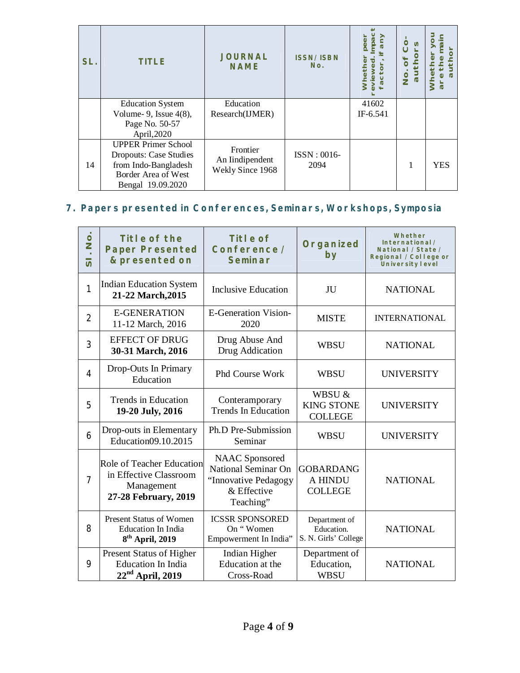| SL. | <b>TITLE</b>                                                                                                                    | <b>JOURNAL</b><br><b>NAME</b>                   | <b>ISSN/ISBN</b><br>No. |                   | n<br>auth<br><u>oi</u> |            |
|-----|---------------------------------------------------------------------------------------------------------------------------------|-------------------------------------------------|-------------------------|-------------------|------------------------|------------|
|     | <b>Education System</b><br>Volume- 9, Issue $4(8)$ ,<br>Page No. 50-57<br>April, 2020                                           | Education<br>Research(IJMER)                    |                         | 41602<br>IF-6.541 |                        |            |
| 14  | <b>UPPER Primer School</b><br><b>Dropouts: Case Studies</b><br>from Indo-Bangladesh<br>Border Area of West<br>Bengal 19.09.2020 | Frontier<br>An Iindipendent<br>Wekly Since 1968 | ISSN: 0016-<br>2094     |                   |                        | <b>YES</b> |

# **7. Papers presented in Conferences, Seminars, Workshops, Symposia**

| . No.<br>$\overline{\bm{v}}$ | Title of the<br><b>Paper Presented</b><br>& presented on                                  | Title of<br>Conference /<br>Seminar                                                              | Organized<br>by                                     | Whether<br>International/<br>National /State /<br>Regional / College or<br><b>University level</b> |
|------------------------------|-------------------------------------------------------------------------------------------|--------------------------------------------------------------------------------------------------|-----------------------------------------------------|----------------------------------------------------------------------------------------------------|
| 1                            | <b>Indian Education System</b><br>21-22 March, 2015                                       | <b>Inclusive Education</b>                                                                       | JU                                                  | <b>NATIONAL</b>                                                                                    |
| $\overline{2}$               | <b>E-GENERATION</b><br>11-12 March, 2016                                                  | <b>E-Generation Vision-</b><br>2020                                                              | <b>MISTE</b>                                        | <b>INTERNATIONAL</b>                                                                               |
| 3                            | <b>EFFECT OF DRUG</b><br>30-31 March, 2016                                                | Drug Abuse And<br>Drug Addication                                                                | <b>WBSU</b>                                         | <b>NATIONAL</b>                                                                                    |
| 4                            | Drop-Outs In Primary<br>Education                                                         | Phd Course Work                                                                                  | <b>WBSU</b>                                         | <b>UNIVERSITY</b>                                                                                  |
| 5                            | Trends in Education<br>19-20 July, 2016                                                   | Conteramporary<br><b>Trends In Education</b>                                                     | WBSU &<br><b>KING STONE</b><br><b>COLLEGE</b>       | <b>UNIVERSITY</b>                                                                                  |
| 6                            | Drop-outs in Elementary<br>Education09.10.2015                                            | Ph.D Pre-Submission<br>Seminar                                                                   | <b>WBSU</b>                                         | <b>UNIVERSITY</b>                                                                                  |
| $\overline{7}$               | Role of Teacher Education<br>in Effective Classroom<br>Management<br>27-28 February, 2019 | <b>NAAC</b> Sponsored<br>National Seminar On<br>"Innovative Pedagogy<br>& Effective<br>Teaching" | <b>GOBARDANG</b><br>A HINDU<br><b>COLLEGE</b>       | <b>NATIONAL</b>                                                                                    |
| 8                            | <b>Present Status of Women</b><br><b>Education In India</b><br>$8th$ April, 2019          | <b>ICSSR SPONSORED</b><br>On "Women<br>Empowerment In India"                                     | Department of<br>Education.<br>S. N. Girls' College | <b>NATIONAL</b>                                                                                    |
| 9                            | Present Status of Higher<br><b>Education In India</b><br>22 <sup>nd</sup> April, 2019     | Indian Higher<br>Education at the<br>Cross-Road                                                  | Department of<br>Education,<br><b>WBSU</b>          | <b>NATIONAL</b>                                                                                    |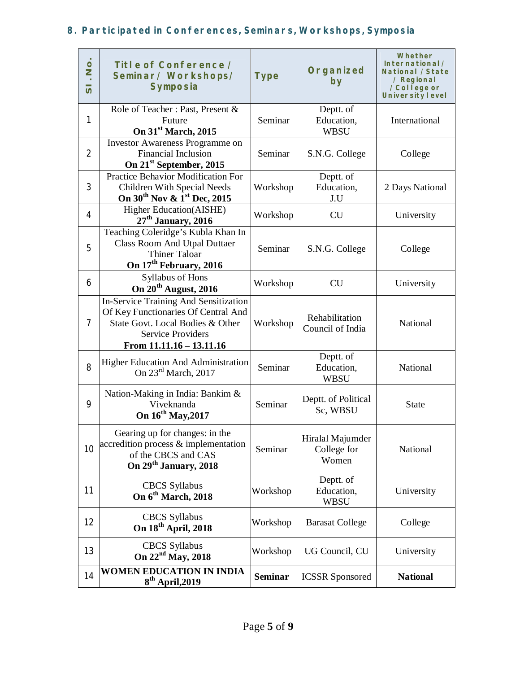# **8. Participated in Conferences, Seminars, Workshops, Symposia**

| $\frac{1}{2}$<br>$\overline{v}$ | Title of Conference /<br>Seminar/Workshops/<br><b>Symposia</b>                                                                                                           | <b>Type</b>    | Organized<br>by                          | Whether<br>International/<br>National /State<br>/ Regional<br>/College or<br><b>University level</b> |
|---------------------------------|--------------------------------------------------------------------------------------------------------------------------------------------------------------------------|----------------|------------------------------------------|------------------------------------------------------------------------------------------------------|
| 1                               | Role of Teacher: Past, Present &<br>Future<br>On 31 <sup>st</sup> March, 2015                                                                                            | Seminar        | Deptt. of<br>Education,<br><b>WBSU</b>   | International                                                                                        |
| $\overline{2}$                  | Investor Awareness Programme on<br><b>Financial Inclusion</b><br>On 21 <sup>st</sup> September, 2015                                                                     | Seminar        | S.N.G. College                           | College                                                                                              |
| 3                               | <b>Practice Behavior Modification For</b><br>Children With Special Needs<br>On 30 <sup>th</sup> Nov & 1 <sup>st</sup> Dec, 2015                                          | Workshop       | Deptt. of<br>Education,<br>J.U           | 2 Days National                                                                                      |
| 4                               | Higher Education(AISHE)<br>$27th$ January, 2016                                                                                                                          | Workshop       | <b>CU</b>                                | University                                                                                           |
| 5                               | Teaching Coleridge's Kubla Khan In<br><b>Class Room And Utpal Duttaer</b><br><b>Thiner Taloar</b><br>On 17 <sup>th</sup> February, 2016                                  | Seminar        | S.N.G. College                           | College                                                                                              |
| 6                               | Syllabus of Hons<br>On 20 <sup>th</sup> August, 2016                                                                                                                     | Workshop       | <b>CU</b>                                | University                                                                                           |
| 7                               | In-Service Training And Sensitization<br>Of Key Functionaries Of Central And<br>State Govt. Local Bodies & Other<br><b>Service Providers</b><br>From 11.11.16 - 13.11.16 | Workshop       | Rehabilitation<br>Council of India       | National                                                                                             |
| 8                               | <b>Higher Education And Administration</b><br>On $23^{\text{rd}}$ March, 2017                                                                                            | Seminar        | Deptt. of<br>Education,<br><b>WBSU</b>   | National                                                                                             |
| 9                               | Nation-Making in India: Bankim &<br>Viveknanda<br>On 16 <sup>th</sup> May, 2017                                                                                          | Seminar        | Deptt. of Political<br>Sc, WBSU          | <b>State</b>                                                                                         |
| 10                              | Gearing up for changes: in the<br>accredition process & implementation<br>of the CBCS and CAS<br>On 29 <sup>th</sup> January, 2018                                       | Seminar        | Hiralal Majumder<br>College for<br>Women | National                                                                                             |
| 11                              | <b>CBCS</b> Syllabus<br>On 6 <sup>th</sup> March, 2018                                                                                                                   | Workshop       | Deptt. of<br>Education,<br><b>WBSU</b>   | University                                                                                           |
| 12                              | <b>CBCS</b> Syllabus<br>On 18 <sup>th</sup> April, 2018                                                                                                                  | Workshop       | <b>Barasat College</b>                   | College                                                                                              |
| 13                              | <b>CBCS</b> Syllabus<br>On 22 <sup>nd</sup> May, 2018                                                                                                                    | Workshop       | UG Council, CU                           | University                                                                                           |
| 14                              | <b>WOMEN EDUCATION IN INDIA</b><br>$8th$ April, 2019                                                                                                                     | <b>Seminar</b> | <b>ICSSR</b> Sponsored                   | <b>National</b>                                                                                      |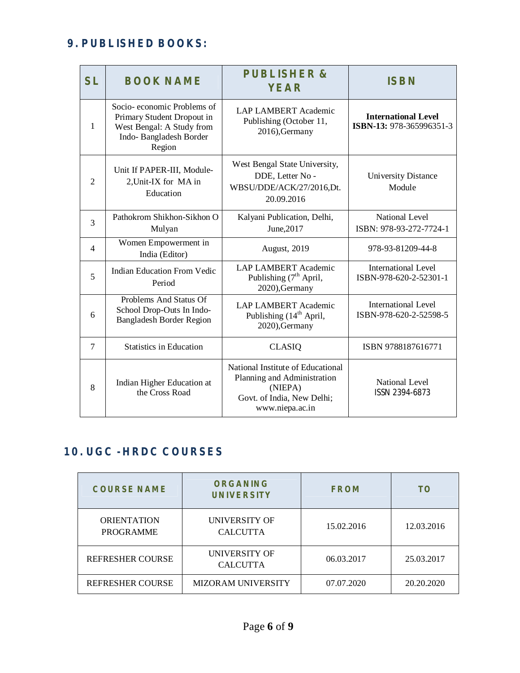## **9. PUBLISHED BOOKS:**

| <b>SL</b>      | <b>BOOK NAME</b>                                                                                                          | <b>PUBLISHER&amp;</b><br><b>YEAR</b>                                                                                         | <b>ISBN</b>                                            |
|----------------|---------------------------------------------------------------------------------------------------------------------------|------------------------------------------------------------------------------------------------------------------------------|--------------------------------------------------------|
| 1              | Socio-economic Problems of<br>Primary Student Dropout in<br>West Bengal: A Study from<br>Indo-Bangladesh Border<br>Region | <b>LAP LAMBERT Academic</b><br>Publishing (October 11,<br>2016), Germany                                                     | <b>International Level</b><br>ISBN-13: 978-365996351-3 |
| $\mathfrak{D}$ | Unit If PAPER-III, Module-<br>2, Unit-IX for MA in<br>Education                                                           | West Bengal State University,<br>DDE, Letter No -<br>WBSU/DDE/ACK/27/2016,Dt.<br>20.09.2016                                  | <b>University Distance</b><br>Module                   |
| 3              | Pathokrom Shikhon-Sikhon O<br>Mulyan                                                                                      | Kalyani Publication, Delhi,<br>June, 2017                                                                                    | <b>National Level</b><br>ISBN: 978-93-272-7724-1       |
| $\overline{4}$ | Women Empowerment in<br>India (Editor)                                                                                    | August, 2019                                                                                                                 | 978-93-81209-44-8                                      |
| 5              | <b>Indian Education From Vedic</b><br>Period                                                                              | <b>LAP LAMBERT Academic</b><br>Publishing $(7th$ April,<br>2020), Germany                                                    | <b>International Level</b><br>ISBN-978-620-2-52301-1   |
| 6              | Problems And Status Of<br>School Drop-Outs In Indo-<br><b>Bangladesh Border Region</b>                                    | <b>LAP LAMBERT Academic</b><br>Publishing (14 <sup>th</sup> April,<br>2020), Germany                                         | <b>International Level</b><br>ISBN-978-620-2-52598-5   |
| $\overline{7}$ | <b>Statistics in Education</b>                                                                                            | <b>CLASIQ</b>                                                                                                                | ISBN 9788187616771                                     |
| 8              | Indian Higher Education at<br>the Cross Road                                                                              | National Institute of Educational<br>Planning and Administration<br>(NIEPA)<br>Govt. of India, New Delhi;<br>www.niepa.ac.in | National Level<br>ISSN 2394-6873                       |

## **10. UGC - HRDC COURSES**

| <b>COURSE NAME</b>                     | <b>ORGANING</b><br><b>UNIVERSITY</b>    | <b>FROM</b> | TO         |
|----------------------------------------|-----------------------------------------|-------------|------------|
| <b>ORIENTATION</b><br><b>PROGRAMME</b> | <b>UNIVERSITY OF</b><br><b>CALCUTTA</b> | 15.02.2016  | 12.03.2016 |
| <b>REFRESHER COURSE</b>                | <b>UNIVERSITY OF</b><br><b>CALCUTTA</b> | 06.03.2017  | 25.03.2017 |
| <b>REFRESHER COURSE</b>                | <b>MIZORAM UNIVERSITY</b>               | 07.07.2020  | 20.20.2020 |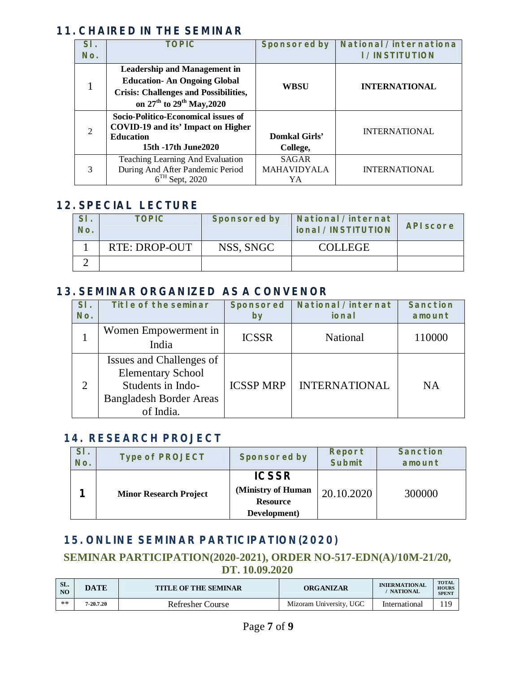#### **11. CHAIRED IN THE SEMINAR**

| SI.                         | <b>TOPIC</b>                                           | <b>Sponsored by</b> | National /internationa |
|-----------------------------|--------------------------------------------------------|---------------------|------------------------|
| No.                         |                                                        |                     | <b>I /INSTITUTION</b>  |
|                             | <b>Leadership and Management in</b>                    |                     |                        |
|                             | <b>Education-An Ongoing Global</b>                     | <b>WBSU</b>         | <b>INTERNATIONAL</b>   |
|                             | <b>Crisis: Challenges and Possibilities,</b>           |                     |                        |
|                             | on 27 <sup>th</sup> to 29 <sup>th</sup> May, 2020      |                     |                        |
|                             | Socio-Politico-Economical issues of                    |                     |                        |
| $\mathcal{D}_{\mathcal{L}}$ | COVID-19 and its' Impact on Higher<br><b>Education</b> | Domkal Girls'       | <b>INTERNATIONAL</b>   |
|                             | 15th -17th June2020                                    | College,            |                        |
|                             | Teaching Learning And Evaluation                       | <b>SAGAR</b>        |                        |
|                             | During And After Pandemic Period                       | <b>MAHAVIDYALA</b>  | <b>INTERNATIONAL</b>   |
|                             | $6TH$ Sept, 2020                                       | YA                  |                        |

# **12. SPECIAL LECTURE**

| No. | <b>TOPIC</b>  | <b>Sponsored by</b> | <b>National /internat</b><br>ional /INSTITUTION | <b>API score</b> |
|-----|---------------|---------------------|-------------------------------------------------|------------------|
|     | RTE: DROP-OUT | NSS, SNGC           | <b>COLLEGE</b>                                  |                  |
|     |               |                     |                                                 |                  |

#### **13. SEMINAR ORGANIZED AS A CONVENOR**

| SI.<br>No.     | Title of the seminar                                                                                                     | <b>Sponsored</b><br>by | <b>National /internat</b><br>ional | <b>Sanction</b><br>amount |
|----------------|--------------------------------------------------------------------------------------------------------------------------|------------------------|------------------------------------|---------------------------|
|                | Women Empowerment in<br>India                                                                                            | <b>ICSSR</b>           | National                           | 110000                    |
| $\overline{2}$ | Issues and Challenges of<br><b>Elementary School</b><br>Students in Indo-<br><b>Bangladesh Border Areas</b><br>of India. | <b>ICSSP MRP</b>       | <b>INTERNATIONAL</b>               | <b>NA</b>                 |

## **14. RESEARCH PROJECT**

| SI.<br>No. | <b>Type of PROJECT</b>        | <b>Sponsored by</b>                                                   | Report<br><b>Submit</b> | <b>Sanction</b><br>amount |
|------------|-------------------------------|-----------------------------------------------------------------------|-------------------------|---------------------------|
|            | <b>Minor Research Project</b> | <b>ICSSR</b><br>(Ministry of Human<br><b>Resource</b><br>Development) | 20.10.2020              | 300000                    |

## **15. ONLINE SEMINAR PARTICIPATION(2020)**

#### **SEMINAR PARTICIPATION(2020-2021), ORDER NO-517-EDN(A)/10M-21/20, DT. 10.09.2020**

| SL.<br>N <sub>O</sub> | <b>DATE</b> | <b>TITLE OF THE SEMINAR</b> | ORGANIZAR               | <b>INIERMATIONAL</b><br>' NATIONAL | <b>TOTAL</b><br><b>HOURS</b><br><b>SPENT</b> |
|-----------------------|-------------|-----------------------------|-------------------------|------------------------------------|----------------------------------------------|
| $**$                  | 7-20.7.20   | Refresher Course            | Mizoram University, UGC | International                      | 119                                          |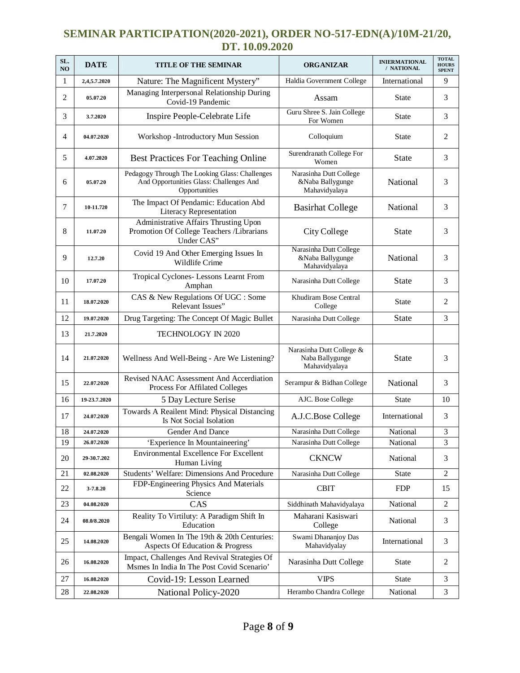#### **SEMINAR PARTICIPATION(2020-2021), ORDER NO-517-EDN(A)/10M-21/20, DT. 10.09.2020**

| SL.<br>NO | <b>DATE</b>  | <b>TITLE OF THE SEMINAR</b>                                                                                | <b>ORGANIZAR</b>                                             | <b>INIERMATIONAL</b><br>/ NATIONAL | <b>TOTAL</b><br><b>HOURS</b><br><b>SPENT</b> |
|-----------|--------------|------------------------------------------------------------------------------------------------------------|--------------------------------------------------------------|------------------------------------|----------------------------------------------|
| 1         | 2,4,5.7.2020 | Nature: The Magnificent Mystery"                                                                           | Haldia Government College                                    | International                      | 9                                            |
| 2         | 05.07.20     | Managing Interpersonal Relationship During<br>Covid-19 Pandemic                                            | Assam                                                        | <b>State</b>                       | 3                                            |
| 3         | 3.7.2020     | Inspire People-Celebrate Life                                                                              | Guru Shree S. Jain College<br>For Women                      | <b>State</b>                       | 3                                            |
| 4         | 04.07.2020   | Workshop - Introductory Mun Session                                                                        | Colloquium                                                   | State                              | $\overline{2}$                               |
| 5         | 4.07.2020    | <b>Best Practices For Teaching Online</b>                                                                  | Surendranath College For<br>Women                            | <b>State</b>                       | 3                                            |
| 6         | 05.07.20     | Pedagogy Through The Looking Glass: Challenges<br>And Opportunities Glass: Challenges And<br>Opportunities | Narasinha Dutt College<br>&Naba Ballygunge<br>Mahavidyalaya  | National                           | 3                                            |
| 7         | 10-11.720    | The Impact Of Pendamic: Education Abd<br>Literacy Representation                                           | <b>Basirhat College</b>                                      | National                           | 3                                            |
| 8         | 11.07.20     | Administrative Affairs Thrusting Upon<br>Promotion Of College Teachers /Librarians<br>Under CAS"           | City College                                                 | <b>State</b>                       | 3                                            |
| 9         | 12.7.20      | Covid 19 And Other Emerging Issues In<br>Wildlife Crime                                                    | Narasinha Dutt College<br>&Naba Ballygunge<br>Mahavidyalaya  | National                           | 3                                            |
| 10        | 17.07.20     | Tropical Cyclones- Lessons Learnt From<br>Amphan                                                           | Narasinha Dutt College                                       | <b>State</b>                       | 3                                            |
| 11        | 18.07.2020   | CAS & New Regulations Of UGC : Some<br>Relevant Issues"                                                    | Khudiram Bose Central<br>College                             | State                              | $\overline{2}$                               |
| 12        | 19.07.2020   | Drug Targeting: The Concept Of Magic Bullet                                                                | Narasinha Dutt College                                       | <b>State</b>                       | 3                                            |
| 13        | 21.7.2020    | TECHNOLOGY IN 2020                                                                                         |                                                              |                                    |                                              |
| 14        | 21.07.2020   | Wellness And Well-Being - Are We Listening?                                                                | Narasinha Dutt College &<br>Naba Ballygunge<br>Mahavidyalaya | <b>State</b>                       | 3                                            |
| 15        | 22.07.2020   | Revised NAAC Assessment And Accerdiation<br>Process For Affilated Colleges                                 | Serampur & Bidhan College                                    | National                           | 3                                            |
| 16        | 19-23.7.2020 | 5 Day Lecture Serise                                                                                       | AJC. Bose College                                            | <b>State</b>                       | 10                                           |
| 17        | 24.07.2020   | Towards A Reailent Mind: Physical Distancing<br>Is Not Social Isolation                                    | A.J.C.Bose College                                           | International                      | 3                                            |
| 18        | 24.07.2020   | <b>Gender And Dance</b>                                                                                    | Narasinha Dutt College                                       | National                           | 3                                            |
| 19        | 26.07.2020   | 'Experience In Mountaineering'                                                                             | Narasinha Dutt College                                       | National                           | 3                                            |
| 20        | 29-30.7.202  | <b>Environmental Excellence For Excellent</b><br>Human Living                                              | <b>CKNCW</b>                                                 | National                           | 3                                            |
| 21        | 02.08.2020   | Students' Welfare: Dimensions And Procedure                                                                | Narasinha Dutt College                                       | <b>State</b>                       | $\overline{2}$                               |
| 22        | 3-7.8.20     | FDP-Engineering Physics And Materials<br>Science                                                           | <b>CBIT</b>                                                  | <b>FDP</b>                         | 15                                           |
| 23        | 04.08.2020   | CAS                                                                                                        | Siddhinath Mahavidyalaya                                     | National                           | $\overline{2}$                               |
| 24        | 08.0/8.2020  | Reality To Virtiluty: A Paradigm Shift In<br>Education                                                     | Maharani Kasiswari<br>College                                | National                           | 3                                            |
| 25        | 14.08.2020   | Bengali Women In The 19th & 20th Centuries:<br>Aspects Of Education & Progress                             | Swami Dhananjoy Das<br>Mahavidyalay                          | International                      | 3                                            |
| 26        | 16.08.2020   | Impact, Challenges And Revival Strategies Of<br>Msmes In India In The Post Covid Scenario'                 | Narasinha Dutt College                                       | State                              | $\overline{2}$                               |
| 27        | 16.08.2020   | Covid-19: Lesson Learned                                                                                   | <b>VIPS</b>                                                  | State                              | 3                                            |
| 28        | 22.08.2020   | National Policy-2020                                                                                       | Herambo Chandra College                                      | National                           | 3                                            |